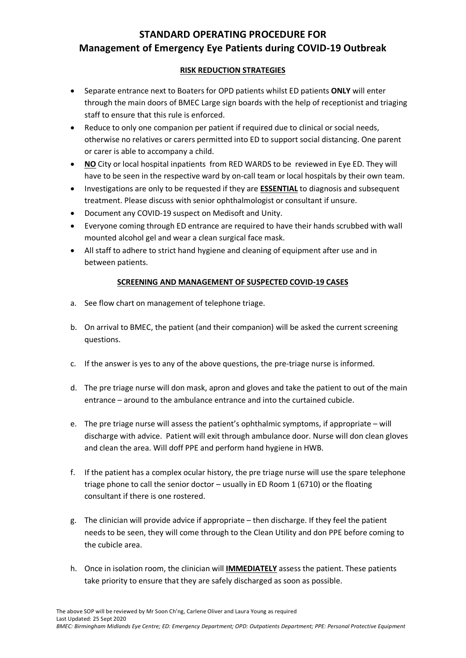# **STANDARD OPERATING PROCEDURE FOR Management of Emergency Eye Patients during COVID-19 Outbreak**

#### **RISK REDUCTION STRATEGIES**

- Separate entrance next to Boaters for OPD patients whilst ED patients **ONLY** will enter through the main doors of BMEC Large sign boards with the help of receptionist and triaging staff to ensure that this rule is enforced.
- Reduce to only one companion per patient if required due to clinical or social needs, otherwise no relatives or carers permitted into ED to support social distancing. One parent or carer is able to accompany a child.
- **NO** City or local hospital inpatients from RED WARDS to be reviewed in Eye ED. They will have to be seen in the respective ward by on-call team or local hospitals by their own team.
- Investigations are only to be requested if they are **ESSENTIAL** to diagnosis and subsequent treatment. Please discuss with senior ophthalmologist or consultant if unsure.
- Document any COVID-19 suspect on Medisoft and Unity.
- Everyone coming through ED entrance are required to have their hands scrubbed with wall mounted alcohol gel and wear a clean surgical face mask.
- All staff to adhere to strict hand hygiene and cleaning of equipment after use and in between patients.

#### **SCREENING AND MANAGEMENT OF SUSPECTED COVID-19 CASES**

- a. See flow chart on management of telephone triage.
- b. On arrival to BMEC, the patient (and their companion) will be asked the current screening questions.
- c. If the answer is yes to any of the above questions, the pre-triage nurse is informed.
- d. The pre triage nurse will don mask, apron and gloves and take the patient to out of the main entrance – around to the ambulance entrance and into the curtained cubicle.
- e. The pre triage nurse will assess the patient's ophthalmic symptoms, if appropriate will discharge with advice. Patient will exit through ambulance door. Nurse will don clean gloves and clean the area. Will doff PPE and perform hand hygiene in HWB.
- f. If the patient has a complex ocular history, the pre triage nurse will use the spare telephone triage phone to call the senior doctor – usually in ED Room 1 (6710) or the floating consultant if there is one rostered.
- g. The clinician will provide advice if appropriate then discharge. If they feel the patient needs to be seen, they will come through to the Clean Utility and don PPE before coming to the cubicle area.
- h. Once in isolation room, the clinician will **IMMEDIATELY** assess the patient. These patients take priority to ensure that they are safely discharged as soon as possible.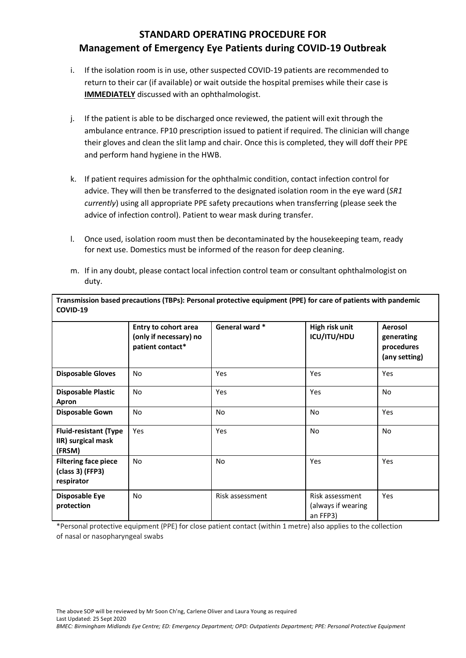# **STANDARD OPERATING PROCEDURE FOR Management of Emergency Eye Patients during COVID-19 Outbreak**

- i. If the isolation room is in use, other suspected COVID-19 patients are recommended to return to their car (if available) or wait outside the hospital premises while their case is **IMMEDIATELY** discussed with an ophthalmologist.
- j. If the patient is able to be discharged once reviewed, the patient will exit through the ambulance entrance. FP10 prescription issued to patient if required. The clinician will change their gloves and clean the slit lamp and chair. Once this is completed, they will doff their PPE and perform hand hygiene in the HWB.
- k. If patient requires admission for the ophthalmic condition, contact infection control for advice. They will then be transferred to the designated isolation room in the eye ward (*SR1 currently*) using all appropriate PPE safety precautions when transferring (please seek the advice of infection control). Patient to wear mask during transfer.
- l. Once used, isolation room must then be decontaminated by the housekeeping team, ready for next use. Domestics must be informed of the reason for deep cleaning.
- m. If in any doubt, please contact local infection control team or consultant ophthalmologist on duty.

| COVID-19                                                      |                                                                    |                 |                                                   |                                                      |
|---------------------------------------------------------------|--------------------------------------------------------------------|-----------------|---------------------------------------------------|------------------------------------------------------|
|                                                               | Entry to cohort area<br>(only if necessary) no<br>patient contact* | General ward *  | High risk unit<br>ICU/ITU/HDU                     | Aerosol<br>generating<br>procedures<br>(any setting) |
| <b>Disposable Gloves</b>                                      | No.                                                                | Yes             | Yes                                               | Yes                                                  |
| <b>Disposable Plastic</b><br>Apron                            | <b>No</b>                                                          | Yes             | Yes                                               | <b>No</b>                                            |
| <b>Disposable Gown</b>                                        | <b>No</b>                                                          | No              | <b>No</b>                                         | Yes                                                  |
| <b>Fluid-resistant (Type</b><br>IIR) surgical mask<br>(FRSM)  | Yes                                                                | Yes             | <b>No</b>                                         | <b>No</b>                                            |
| <b>Filtering face piece</b><br>(class 3) (FFP3)<br>respirator | <b>No</b>                                                          | <b>No</b>       | Yes                                               | Yes                                                  |
| <b>Disposable Eye</b><br>protection                           | No.                                                                | Risk assessment | Risk assessment<br>(always if wearing<br>an FFP3) | Yes                                                  |

**Transmission based precautions (TBPs): Personal protective equipment (PPE) for care of patients with pandemic** 

\*Personal protective equipment (PPE) for close patient contact (within 1 metre) also applies to the collection of nasal or nasopharyngeal swabs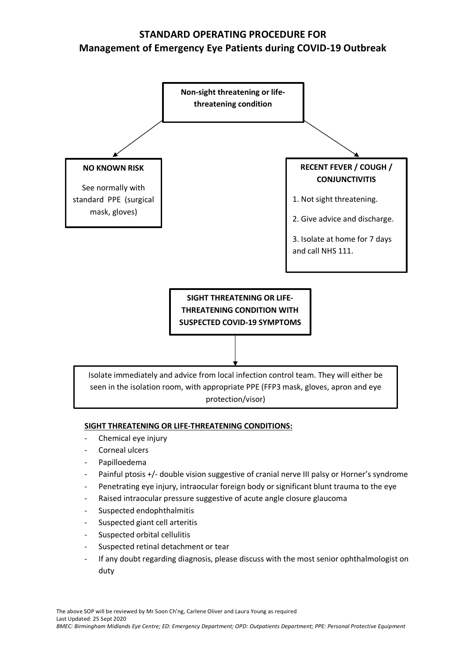# **STANDARD OPERATING PROCEDURE FOR Management of Emergency Eye Patients during COVID-19 Outbreak**



#### **SIGHT THREATENING OR LIFE-THREATENING CONDITIONS:**

- Chemical eye injury
- Corneal ulcers
- Papilloedema
- Painful ptosis +/- double vision suggestive of cranial nerve III palsy or Horner's syndrome
- Penetrating eye injury, intraocular foreign body or significant blunt trauma to the eye
- Raised intraocular pressure suggestive of acute angle closure glaucoma
- Suspected endophthalmitis
- Suspected giant cell arteritis
- Suspected orbital cellulitis
- Suspected retinal detachment or tear
- If any doubt regarding diagnosis, please discuss with the most senior ophthalmologist on duty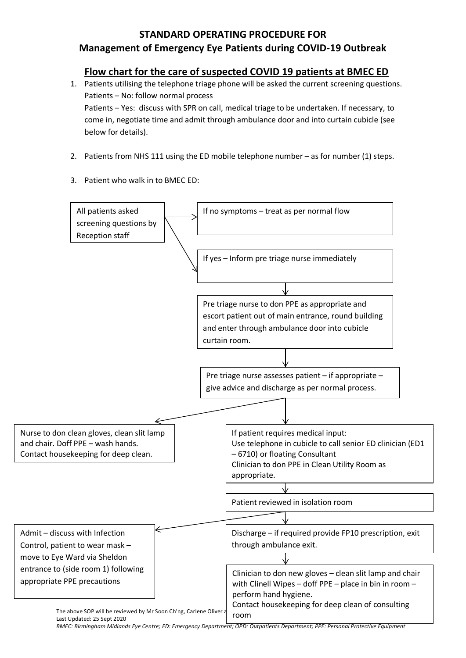### **STANDARD OPERATING PROCEDURE FOR**

### **Management of Emergency Eye Patients during COVID-19 Outbreak**

### **Flow chart for the care of suspected COVID 19 patients at BMEC ED**

1. Patients utilising the telephone triage phone will be asked the current screening questions. Patients – No: follow normal process Patients – Yes: discuss with SPR on call, medical triage to be undertaken. If necessary, to come in, negotiate time and admit through ambulance door and into curtain cubicle (see below for details).

- 2. Patients from NHS 111 using the ED mobile telephone number as for number (1) steps.
- 3. Patient who walk in to BMEC ED: